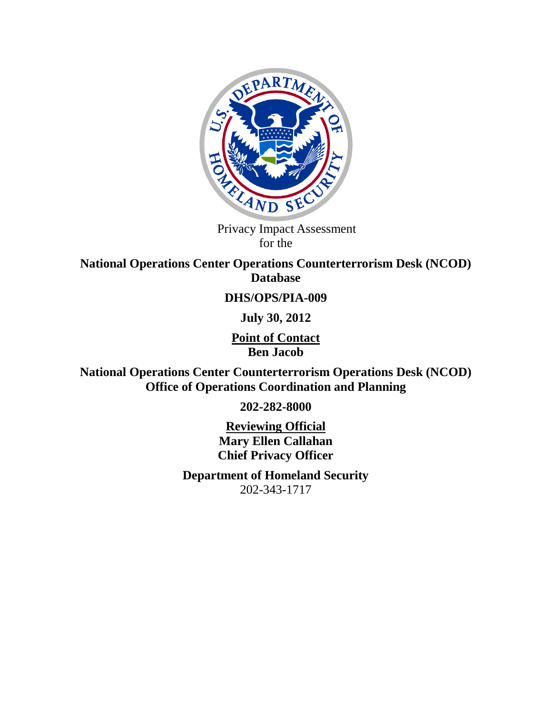

 Privacy Impact Assessment for the

**National Operations Center Operations Counterterrorism Desk (NCOD) Database** 

#### **DHS/OPS/PIA-009**

**July 30, 2012**

**Point of Contact Ben Jacob**

**National Operations Center Counterterrorism Operations Desk (NCOD) Office of Operations Coordination and Planning**

**202-282-8000**

**Reviewing Official Mary Ellen Callahan Chief Privacy Officer**

**Department of Homeland Security**  202-343-1717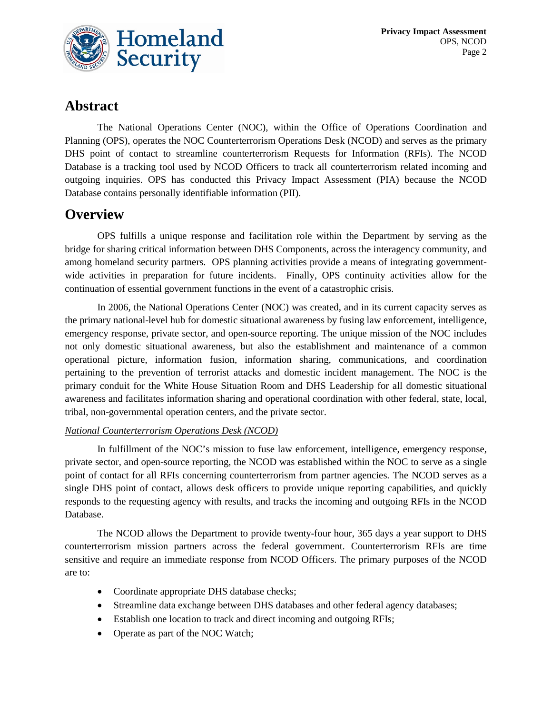

### **Abstract**

The National Operations Center (NOC), within the Office of Operations Coordination and Planning (OPS), operates the NOC Counterterrorism Operations Desk (NCOD) and serves as the primary DHS point of contact to streamline counterterrorism Requests for Information (RFIs). The NCOD Database is a tracking tool used by NCOD Officers to track all counterterrorism related incoming and outgoing inquiries. OPS has conducted this Privacy Impact Assessment (PIA) because the NCOD Database contains personally identifiable information (PII).

### **Overview**

OPS fulfills a unique response and facilitation role within the Department by serving as the bridge for sharing critical information between DHS Components, across the interagency community, and among homeland security partners. OPS planning activities provide a means of integrating governmentwide activities in preparation for future incidents. Finally, OPS continuity activities allow for the continuation of essential government functions in the event of a catastrophic crisis.

In 2006, the National Operations Center (NOC) was created, and in its current capacity serves as the primary national-level hub for domestic situational awareness by fusing law enforcement, intelligence, emergency response, private sector, and open-source reporting. The unique mission of the NOC includes not only domestic situational awareness, but also the establishment and maintenance of a common operational picture, information fusion, information sharing, communications, and coordination pertaining to the prevention of terrorist attacks and domestic incident management. The NOC is the primary conduit for the White House Situation Room and DHS Leadership for all domestic situational awareness and facilitates information sharing and operational coordination with other federal, state, local, tribal, non-governmental operation centers, and the private sector.

#### *National Counterterrorism Operations Desk (NCOD)*

In fulfillment of the NOC's mission to fuse law enforcement, intelligence, emergency response, private sector, and open-source reporting, the NCOD was established within the NOC to serve as a single point of contact for all RFIs concerning counterterrorism from partner agencies. The NCOD serves as a single DHS point of contact, allows desk officers to provide unique reporting capabilities, and quickly responds to the requesting agency with results, and tracks the incoming and outgoing RFIs in the NCOD Database.

The NCOD allows the Department to provide twenty-four hour, 365 days a year support to DHS counterterrorism mission partners across the federal government. Counterterrorism RFIs are time sensitive and require an immediate response from NCOD Officers. The primary purposes of the NCOD are to:

- Coordinate appropriate DHS database checks;
- Streamline data exchange between DHS databases and other federal agency databases;
- Establish one location to track and direct incoming and outgoing RFIs;
- Operate as part of the NOC Watch;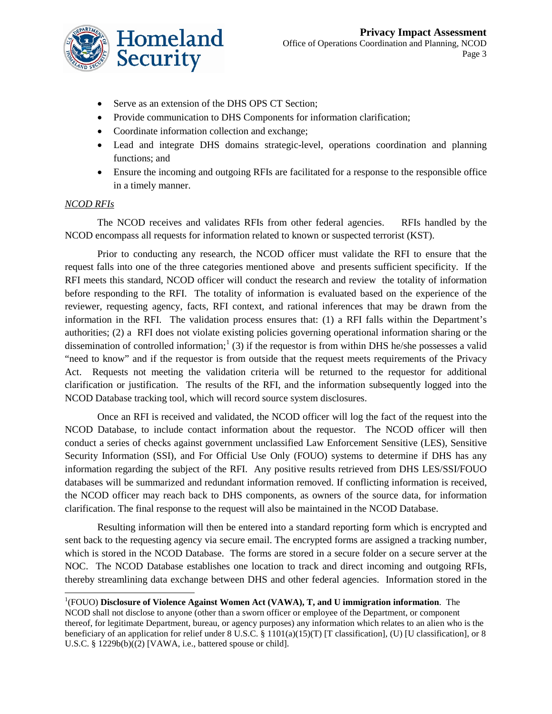

- Serve as an extension of the DHS OPS CT Section;
- Provide communication to DHS Components for information clarification;
- Coordinate information collection and exchange;
- Lead and integrate DHS domains strategic-level, operations coordination and planning functions; and
- Ensure the incoming and outgoing RFIs are facilitated for a response to the responsible office in a timely manner.

#### *NCOD RFIs*

The NCOD receives and validates RFIs from other federal agencies. RFIs handled by the NCOD encompass all requests for information related to known or suspected terrorist (KST).

Prior to conducting any research, the NCOD officer must validate the RFI to ensure that the request falls into one of the three categories mentioned above and presents sufficient specificity. If the RFI meets this standard, NCOD officer will conduct the research and review the totality of information before responding to the RFI. The totality of information is evaluated based on the experience of the reviewer, requesting agency, facts, RFI context, and rational inferences that may be drawn from the information in the RFI. The validation process ensures that: (1) a RFI falls within the Department's authorities; (2) a RFI does not violate existing policies governing operational information sharing or the dissemination of controlled information;<sup>[1](#page-2-0)</sup> (3) if the requestor is from within DHS he/she possesses a valid "need to know" and if the requestor is from outside that the request meets requirements of the Privacy Act. Requests not meeting the validation criteria will be returned to the requestor for additional clarification or justification. The results of the RFI, and the information subsequently logged into the NCOD Database tracking tool, which will record source system disclosures.

Once an RFI is received and validated, the NCOD officer will log the fact of the request into the NCOD Database, to include contact information about the requestor. The NCOD officer will then conduct a series of checks against government unclassified Law Enforcement Sensitive (LES), Sensitive Security Information (SSI), and For Official Use Only (FOUO) systems to determine if DHS has any information regarding the subject of the RFI. Any positive results retrieved from DHS LES/SSI/FOUO databases will be summarized and redundant information removed. If conflicting information is received, the NCOD officer may reach back to DHS components, as owners of the source data, for information clarification. The final response to the request will also be maintained in the NCOD Database.

Resulting information will then be entered into a standard reporting form which is encrypted and sent back to the requesting agency via secure email. The encrypted forms are assigned a tracking number, which is stored in the NCOD Database. The forms are stored in a secure folder on a secure server at the NOC. The NCOD Database establishes one location to track and direct incoming and outgoing RFIs, thereby streamlining data exchange between DHS and other federal agencies. Information stored in the

<span id="page-2-0"></span> <sup>1</sup> (FOUO) **Disclosure of Violence Against Women Act (VAWA), T, and U immigration information**. The NCOD shall not disclose to anyone (other than a sworn officer or employee of the Department, or component thereof, for legitimate Department, bureau, or agency purposes) any information which relates to an alien who is the beneficiary of an application for relief under 8 U.S.C. § 1101(a)(15)(T) [T classification], (U) [U classification], or 8 U.S.C. § 1229b(b)((2) [VAWA, i.e., battered spouse or child].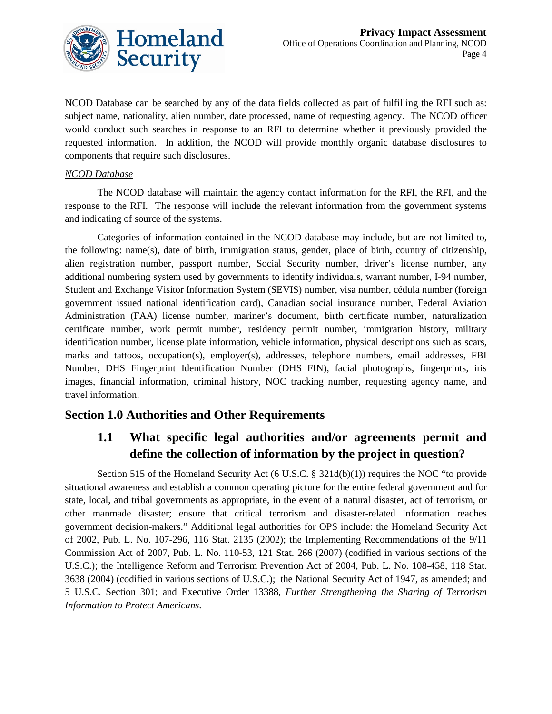

NCOD Database can be searched by any of the data fields collected as part of fulfilling the RFI such as: subject name, nationality, alien number, date processed, name of requesting agency. The NCOD officer would conduct such searches in response to an RFI to determine whether it previously provided the requested information. In addition, the NCOD will provide monthly organic database disclosures to components that require such disclosures.

#### *NCOD Database*

The NCOD database will maintain the agency contact information for the RFI, the RFI, and the response to the RFI. The response will include the relevant information from the government systems and indicating of source of the systems.

Categories of information contained in the NCOD database may include, but are not limited to, the following: name(s), date of birth, immigration status, gender, place of birth, country of citizenship, alien registration number, passport number, Social Security number, driver's license number, any additional numbering system used by governments to identify individuals, warrant number, I-94 number, Student and Exchange Visitor Information System (SEVIS) number, visa number, cédula number (foreign government issued national identification card), Canadian social insurance number, Federal Aviation Administration (FAA) license number, mariner's document, birth certificate number, naturalization certificate number, work permit number, residency permit number, immigration history, military identification number, license plate information, vehicle information, physical descriptions such as scars, marks and tattoos, occupation(s), employer(s), addresses, telephone numbers, email addresses, FBI Number, DHS Fingerprint Identification Number (DHS FIN), facial photographs, fingerprints, iris images, financial information, criminal history, NOC tracking number, requesting agency name, and travel information.

#### **Section 1.0 Authorities and Other Requirements**

#### **1.1 What specific legal authorities and/or agreements permit and define the collection of information by the project in question?**

Section 515 of the Homeland Security Act (6 U.S.C.  $\S$  321d(b)(1)) requires the NOC "to provide situational awareness and establish a common operating picture for the entire federal government and for state, local, and tribal governments as appropriate, in the event of a natural disaster, act of terrorism, or other manmade disaster; ensure that critical terrorism and disaster-related information reaches government decision-makers." Additional legal authorities for OPS include: the Homeland Security Act of 2002, Pub. L. No. 107-296, 116 Stat. 2135 (2002); the Implementing Recommendations of the 9/11 Commission Act of 2007, Pub. L. No. 110-53, 121 Stat. 266 (2007) (codified in various sections of the U.S.C.); the Intelligence Reform and Terrorism Prevention Act of 2004, Pub. L. No. 108-458, 118 Stat. 3638 (2004) (codified in various sections of U.S.C.); the National Security Act of 1947, as amended; and 5 U.S.C. Section 301; and Executive Order 13388, *Further Strengthening the Sharing of Terrorism Information to Protect Americans*.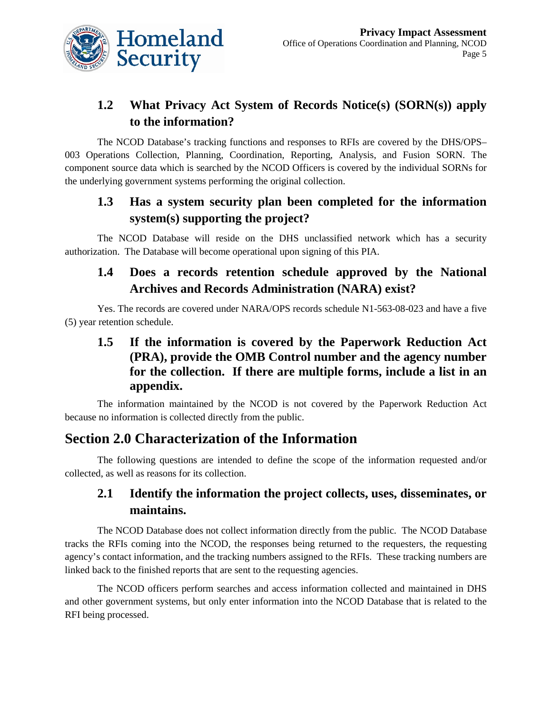

## **1.2 What Privacy Act System of Records Notice(s) (SORN(s)) apply to the information?**

The NCOD Database's tracking functions and responses to RFIs are covered by the DHS/OPS– 003 Operations Collection, Planning, Coordination, Reporting, Analysis, and Fusion SORN. The component source data which is searched by the NCOD Officers is covered by the individual SORNs for the underlying government systems performing the original collection.

### **1.3 Has a system security plan been completed for the information system(s) supporting the project?**

The NCOD Database will reside on the DHS unclassified network which has a security authorization. The Database will become operational upon signing of this PIA.

## **1.4 Does a records retention schedule approved by the National Archives and Records Administration (NARA) exist?**

Yes. The records are covered under NARA/OPS records schedule N1-563-08-023 and have a five (5) year retention schedule.

#### **1.5 If the information is covered by the Paperwork Reduction Act (PRA), provide the OMB Control number and the agency number for the collection. If there are multiple forms, include a list in an appendix.**

The information maintained by the NCOD is not covered by the Paperwork Reduction Act because no information is collected directly from the public.

### **Section 2.0 Characterization of the Information**

The following questions are intended to define the scope of the information requested and/or collected, as well as reasons for its collection.

### **2.1 Identify the information the project collects, uses, disseminates, or maintains.**

The NCOD Database does not collect information directly from the public. The NCOD Database tracks the RFIs coming into the NCOD, the responses being returned to the requesters, the requesting agency's contact information, and the tracking numbers assigned to the RFIs. These tracking numbers are linked back to the finished reports that are sent to the requesting agencies.

The NCOD officers perform searches and access information collected and maintained in DHS and other government systems, but only enter information into the NCOD Database that is related to the RFI being processed.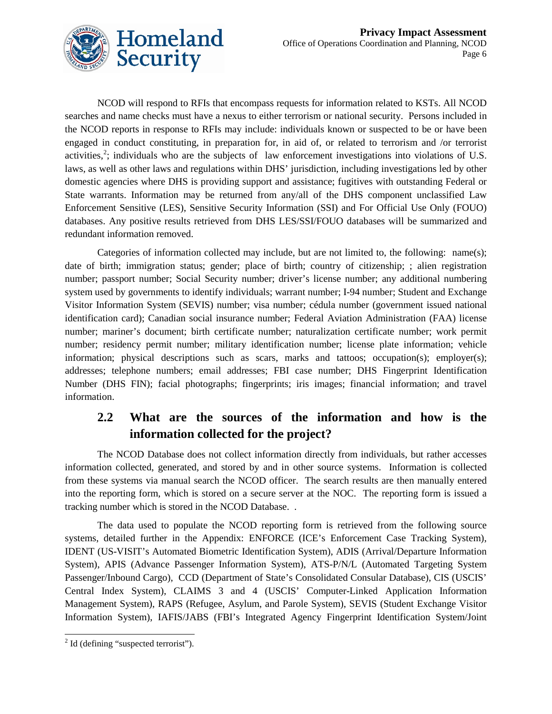

NCOD will respond to RFIs that encompass requests for information related to KSTs. All NCOD searches and name checks must have a nexus to either terrorism or national security. Persons included in the NCOD reports in response to RFIs may include: individuals known or suspected to be or have been engaged in conduct constituting, in preparation for, in aid of, or related to terrorism and /or terrorist activities,<sup>[2](#page-5-0)</sup>; individuals who are the subjects of law enforcement investigations into violations of U.S. laws, as well as other laws and regulations within DHS' jurisdiction, including investigations led by other domestic agencies where DHS is providing support and assistance; fugitives with outstanding Federal or State warrants. Information may be returned from any/all of the DHS component unclassified Law Enforcement Sensitive (LES), Sensitive Security Information (SSI) and For Official Use Only (FOUO) databases. Any positive results retrieved from DHS LES/SSI/FOUO databases will be summarized and redundant information removed.

Categories of information collected may include, but are not limited to, the following: name(s); date of birth; immigration status; gender; place of birth; country of citizenship; ; alien registration number; passport number; Social Security number; driver's license number; any additional numbering system used by governments to identify individuals; warrant number; I-94 number; Student and Exchange Visitor Information System (SEVIS) number; visa number; cédula number (government issued national identification card); Canadian social insurance number; Federal Aviation Administration (FAA) license number; mariner's document; birth certificate number; naturalization certificate number; work permit number; residency permit number; military identification number; license plate information; vehicle information; physical descriptions such as scars, marks and tattoos; occupation(s); employer(s); addresses; telephone numbers; email addresses; FBI case number; DHS Fingerprint Identification Number (DHS FIN); facial photographs; fingerprints; iris images; financial information; and travel information.

### **2.2 What are the sources of the information and how is the information collected for the project?**

The NCOD Database does not collect information directly from individuals, but rather accesses information collected, generated, and stored by and in other source systems. Information is collected from these systems via manual search the NCOD officer. The search results are then manually entered into the reporting form, which is stored on a secure server at the NOC. The reporting form is issued a tracking number which is stored in the NCOD Database. .

The data used to populate the NCOD reporting form is retrieved from the following source systems, detailed further in the Appendix: ENFORCE (ICE's Enforcement Case Tracking System), IDENT (US-VISIT's Automated Biometric Identification System), ADIS (Arrival/Departure Information System), APIS (Advance Passenger Information System), ATS-P/N/L (Automated Targeting System Passenger/Inbound Cargo), CCD (Department of State's Consolidated Consular Database), CIS (USCIS' Central Index System), CLAIMS 3 and 4 (USCIS' Computer-Linked Application Information Management System), RAPS (Refugee, Asylum, and Parole System), SEVIS (Student Exchange Visitor Information System), IAFIS/JABS (FBI's Integrated Agency Fingerprint Identification System/Joint

<span id="page-5-0"></span> $2$  Id (defining "suspected terrorist").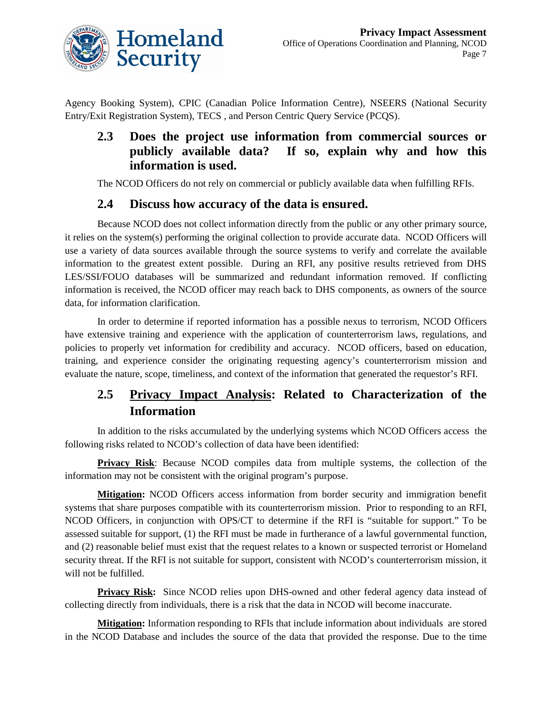

Agency Booking System), CPIC (Canadian Police Information Centre), NSEERS (National Security Entry/Exit Registration System), TECS , and Person Centric Query Service (PCQS).

#### **2.3 Does the project use information from commercial sources or publicly available data? If so, explain why and how this information is used.**

The NCOD Officers do not rely on commercial or publicly available data when fulfilling RFIs.

#### **2.4 Discuss how accuracy of the data is ensured.**

Because NCOD does not collect information directly from the public or any other primary source, it relies on the system(s) performing the original collection to provide accurate data. NCOD Officers will use a variety of data sources available through the source systems to verify and correlate the available information to the greatest extent possible. During an RFI, any positive results retrieved from DHS LES/SSI/FOUO databases will be summarized and redundant information removed. If conflicting information is received, the NCOD officer may reach back to DHS components, as owners of the source data, for information clarification.

In order to determine if reported information has a possible nexus to terrorism, NCOD Officers have extensive training and experience with the application of counterterrorism laws, regulations, and policies to properly vet information for credibility and accuracy. NCOD officers, based on education, training, and experience consider the originating requesting agency's counterterrorism mission and evaluate the nature, scope, timeliness, and context of the information that generated the requestor's RFI.

### **2.5 Privacy Impact Analysis: Related to Characterization of the Information**

In addition to the risks accumulated by the underlying systems which NCOD Officers access the following risks related to NCOD's collection of data have been identified:

**Privacy Risk**: Because NCOD compiles data from multiple systems, the collection of the information may not be consistent with the original program's purpose.

**Mitigation:** NCOD Officers access information from border security and immigration benefit systems that share purposes compatible with its counterterrorism mission. Prior to responding to an RFI, NCOD Officers, in conjunction with OPS/CT to determine if the RFI is "suitable for support." To be assessed suitable for support, (1) the RFI must be made in furtherance of a lawful governmental function, and (2) reasonable belief must exist that the request relates to a known or suspected terrorist or Homeland security threat. If the RFI is not suitable for support, consistent with NCOD's counterterrorism mission, it will not be fulfilled.

**Privacy Risk:** Since NCOD relies upon DHS-owned and other federal agency data instead of collecting directly from individuals, there is a risk that the data in NCOD will become inaccurate.

**Mitigation:** Information responding to RFIs that include information about individuals are stored in the NCOD Database and includes the source of the data that provided the response. Due to the time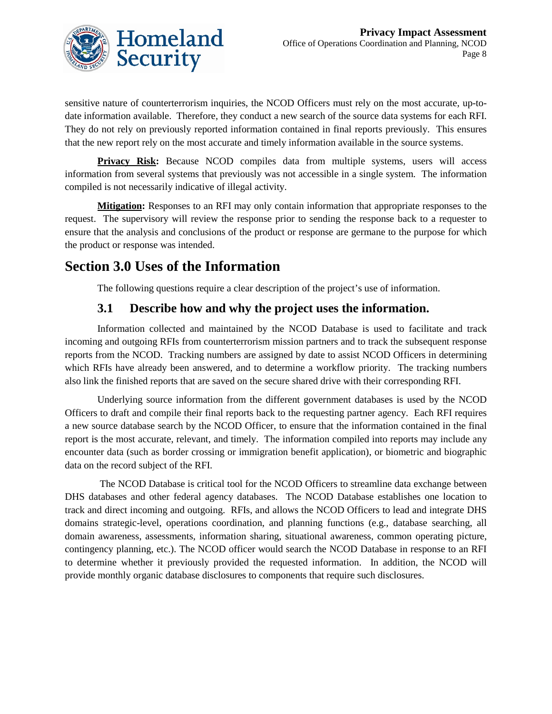

sensitive nature of counterterrorism inquiries, the NCOD Officers must rely on the most accurate, up-todate information available. Therefore, they conduct a new search of the source data systems for each RFI. They do not rely on previously reported information contained in final reports previously. This ensures that the new report rely on the most accurate and timely information available in the source systems.

**Privacy Risk:** Because NCOD compiles data from multiple systems, users will access information from several systems that previously was not accessible in a single system. The information compiled is not necessarily indicative of illegal activity.

**Mitigation:** Responses to an RFI may only contain information that appropriate responses to the request. The supervisory will review the response prior to sending the response back to a requester to ensure that the analysis and conclusions of the product or response are germane to the purpose for which the product or response was intended.

# **Section 3.0 Uses of the Information**

The following questions require a clear description of the project's use of information.

#### **3.1 Describe how and why the project uses the information.**

Information collected and maintained by the NCOD Database is used to facilitate and track incoming and outgoing RFIs from counterterrorism mission partners and to track the subsequent response reports from the NCOD. Tracking numbers are assigned by date to assist NCOD Officers in determining which RFIs have already been answered, and to determine a workflow priority. The tracking numbers also link the finished reports that are saved on the secure shared drive with their corresponding RFI.

Underlying source information from the different government databases is used by the NCOD Officers to draft and compile their final reports back to the requesting partner agency. Each RFI requires a new source database search by the NCOD Officer, to ensure that the information contained in the final report is the most accurate, relevant, and timely. The information compiled into reports may include any encounter data (such as border crossing or immigration benefit application), or biometric and biographic data on the record subject of the RFI.

The NCOD Database is critical tool for the NCOD Officers to streamline data exchange between DHS databases and other federal agency databases. The NCOD Database establishes one location to track and direct incoming and outgoing. RFIs, and allows the NCOD Officers to lead and integrate DHS domains strategic-level, operations coordination, and planning functions (e.g., database searching, all domain awareness, assessments, information sharing, situational awareness, common operating picture, contingency planning, etc.). The NCOD officer would search the NCOD Database in response to an RFI to determine whether it previously provided the requested information. In addition, the NCOD will provide monthly organic database disclosures to components that require such disclosures.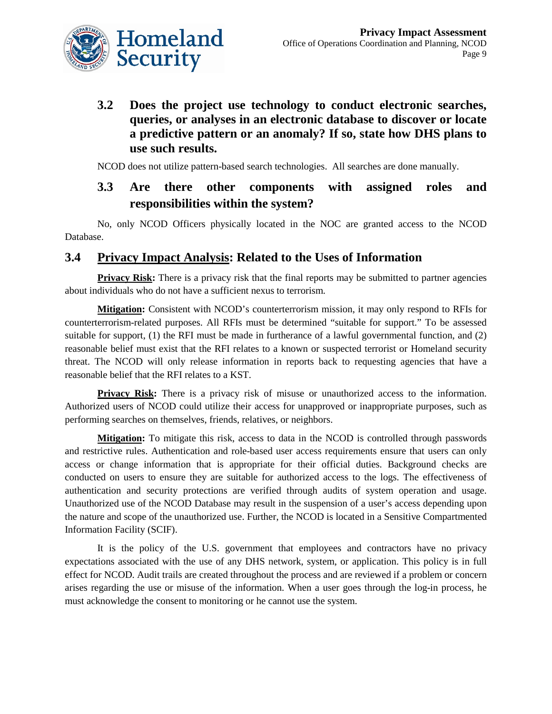

**3.2 Does the project use technology to conduct electronic searches, queries, or analyses in an electronic database to discover or locate a predictive pattern or an anomaly? If so, state how DHS plans to use such results.** 

NCOD does not utilize pattern-based search technologies. All searches are done manually.

#### **3.3 Are there other components with assigned roles and responsibilities within the system?**

No, only NCOD Officers physically located in the NOC are granted access to the NCOD Database.

#### **3.4 Privacy Impact Analysis: Related to the Uses of Information**

**Privacy Risk:** There is a privacy risk that the final reports may be submitted to partner agencies about individuals who do not have a sufficient nexus to terrorism.

**Mitigation:** Consistent with NCOD's counterterrorism mission, it may only respond to RFIs for counterterrorism-related purposes. All RFIs must be determined "suitable for support." To be assessed suitable for support, (1) the RFI must be made in furtherance of a lawful governmental function, and (2) reasonable belief must exist that the RFI relates to a known or suspected terrorist or Homeland security threat. The NCOD will only release information in reports back to requesting agencies that have a reasonable belief that the RFI relates to a KST.

**Privacy Risk:** There is a privacy risk of misuse or unauthorized access to the information. Authorized users of NCOD could utilize their access for unapproved or inappropriate purposes, such as performing searches on themselves, friends, relatives, or neighbors.

**Mitigation:** To mitigate this risk, access to data in the NCOD is controlled through passwords and restrictive rules. Authentication and role-based user access requirements ensure that users can only access or change information that is appropriate for their official duties. Background checks are conducted on users to ensure they are suitable for authorized access to the logs. The effectiveness of authentication and security protections are verified through audits of system operation and usage. Unauthorized use of the NCOD Database may result in the suspension of a user's access depending upon the nature and scope of the unauthorized use. Further, the NCOD is located in a Sensitive Compartmented Information Facility (SCIF).

It is the policy of the U.S. government that employees and contractors have no privacy expectations associated with the use of any DHS network, system, or application. This policy is in full effect for NCOD. Audit trails are created throughout the process and are reviewed if a problem or concern arises regarding the use or misuse of the information. When a user goes through the log-in process, he must acknowledge the consent to monitoring or he cannot use the system.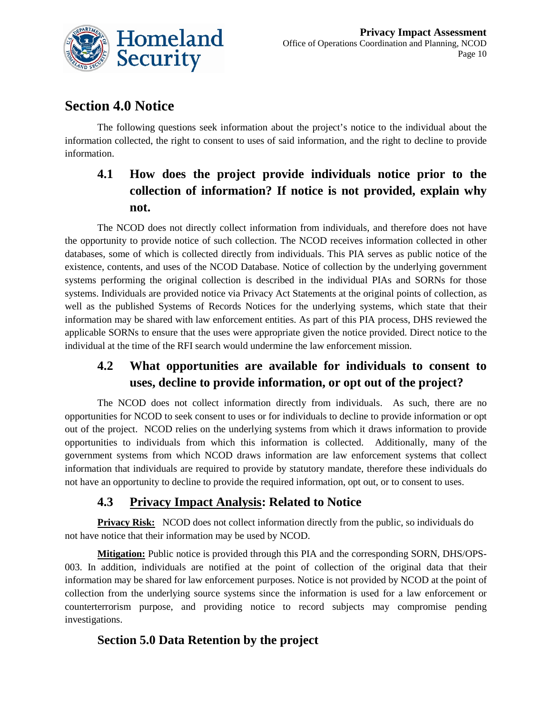

# **Section 4.0 Notice**

The following questions seek information about the project's notice to the individual about the information collected, the right to consent to uses of said information, and the right to decline to provide information.

# **4.1 How does the project provide individuals notice prior to the collection of information? If notice is not provided, explain why not.**

The NCOD does not directly collect information from individuals, and therefore does not have the opportunity to provide notice of such collection. The NCOD receives information collected in other databases, some of which is collected directly from individuals. This PIA serves as public notice of the existence, contents, and uses of the NCOD Database. Notice of collection by the underlying government systems performing the original collection is described in the individual PIAs and SORNs for those systems. Individuals are provided notice via Privacy Act Statements at the original points of collection, as well as the published Systems of Records Notices for the underlying systems, which state that their information may be shared with law enforcement entities. As part of this PIA process, DHS reviewed the applicable SORNs to ensure that the uses were appropriate given the notice provided. Direct notice to the individual at the time of the RFI search would undermine the law enforcement mission.

### **4.2 What opportunities are available for individuals to consent to uses, decline to provide information, or opt out of the project?**

The NCOD does not collect information directly from individuals. As such, there are no opportunities for NCOD to seek consent to uses or for individuals to decline to provide information or opt out of the project. NCOD relies on the underlying systems from which it draws information to provide opportunities to individuals from which this information is collected. Additionally, many of the government systems from which NCOD draws information are law enforcement systems that collect information that individuals are required to provide by statutory mandate, therefore these individuals do not have an opportunity to decline to provide the required information, opt out, or to consent to uses.

### **4.3 Privacy Impact Analysis: Related to Notice**

**Privacy Risk:** NCOD does not collect information directly from the public, so individuals do not have notice that their information may be used by NCOD.

**Mitigation:** Public notice is provided through this PIA and the corresponding SORN, DHS/OPS-003. In addition, individuals are notified at the point of collection of the original data that their information may be shared for law enforcement purposes. Notice is not provided by NCOD at the point of collection from the underlying source systems since the information is used for a law enforcement or counterterrorism purpose, and providing notice to record subjects may compromise pending investigations.

#### **Section 5.0 Data Retention by the project**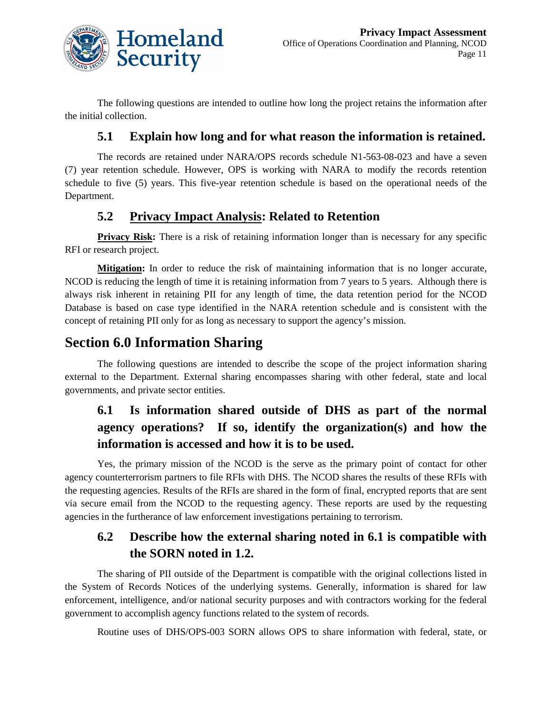

The following questions are intended to outline how long the project retains the information after the initial collection.

#### **5.1 Explain how long and for what reason the information is retained.**

The records are retained under NARA/OPS records schedule N1-563-08-023 and have a seven (7) year retention schedule. However, OPS is working with NARA to modify the records retention schedule to five (5) years. This five-year retention schedule is based on the operational needs of the Department.

#### **5.2 Privacy Impact Analysis: Related to Retention**

**Privacy Risk:** There is a risk of retaining information longer than is necessary for any specific RFI or research project.

**Mitigation:** In order to reduce the risk of maintaining information that is no longer accurate, NCOD is reducing the length of time it is retaining information from 7 years to 5 years. Although there is always risk inherent in retaining PII for any length of time, the data retention period for the NCOD Database is based on case type identified in the NARA retention schedule and is consistent with the concept of retaining PII only for as long as necessary to support the agency's mission.

### **Section 6.0 Information Sharing**

The following questions are intended to describe the scope of the project information sharing external to the Department. External sharing encompasses sharing with other federal, state and local governments, and private sector entities.

## **6.1 Is information shared outside of DHS as part of the normal agency operations? If so, identify the organization(s) and how the information is accessed and how it is to be used.**

Yes, the primary mission of the NCOD is the serve as the primary point of contact for other agency counterterrorism partners to file RFIs with DHS. The NCOD shares the results of these RFIs with the requesting agencies. Results of the RFIs are shared in the form of final, encrypted reports that are sent via secure email from the NCOD to the requesting agency. These reports are used by the requesting agencies in the furtherance of law enforcement investigations pertaining to terrorism.

#### **6.2 Describe how the external sharing noted in 6.1 is compatible with the SORN noted in 1.2.**

The sharing of PII outside of the Department is compatible with the original collections listed in the System of Records Notices of the underlying systems. Generally, information is shared for law enforcement, intelligence, and/or national security purposes and with contractors working for the federal government to accomplish agency functions related to the system of records.

Routine uses of DHS/OPS-003 SORN allows OPS to share information with federal, state, or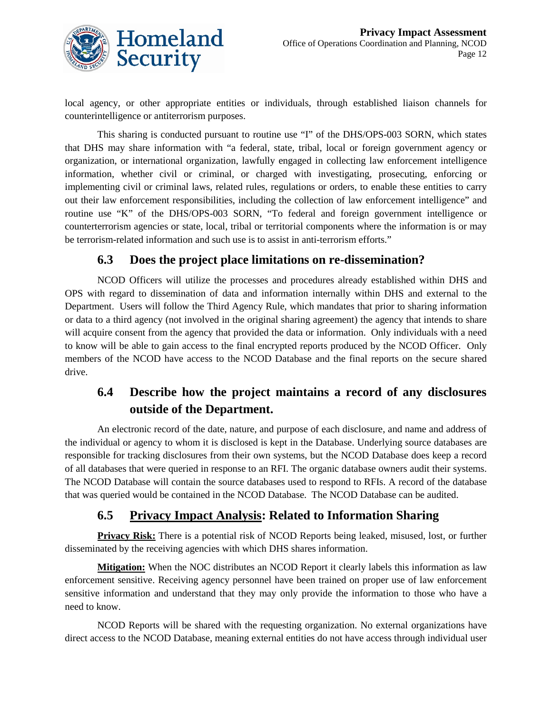

local agency, or other appropriate entities or individuals, through established liaison channels for counterintelligence or antiterrorism purposes.

This sharing is conducted pursuant to routine use "I" of the DHS/OPS-003 SORN, which states that DHS may share information with "a federal, state, tribal, local or foreign government agency or organization, or international organization, lawfully engaged in collecting law enforcement intelligence information, whether civil or criminal, or charged with investigating, prosecuting, enforcing or implementing civil or criminal laws, related rules, regulations or orders, to enable these entities to carry out their law enforcement responsibilities, including the collection of law enforcement intelligence" and routine use "K" of the DHS/OPS-003 SORN, "To federal and foreign government intelligence or counterterrorism agencies or state, local, tribal or territorial components where the information is or may be terrorism-related information and such use is to assist in anti-terrorism efforts."

#### **6.3 Does the project place limitations on re-dissemination?**

NCOD Officers will utilize the processes and procedures already established within DHS and OPS with regard to dissemination of data and information internally within DHS and external to the Department. Users will follow the Third Agency Rule, which mandates that prior to sharing information or data to a third agency (not involved in the original sharing agreement) the agency that intends to share will acquire consent from the agency that provided the data or information. Only individuals with a need to know will be able to gain access to the final encrypted reports produced by the NCOD Officer. Only members of the NCOD have access to the NCOD Database and the final reports on the secure shared drive.

### **6.4 Describe how the project maintains a record of any disclosures outside of the Department.**

An electronic record of the date, nature, and purpose of each disclosure, and name and address of the individual or agency to whom it is disclosed is kept in the Database. Underlying source databases are responsible for tracking disclosures from their own systems, but the NCOD Database does keep a record of all databases that were queried in response to an RFI. The organic database owners audit their systems. The NCOD Database will contain the source databases used to respond to RFIs. A record of the database that was queried would be contained in the NCOD Database. The NCOD Database can be audited.

#### **6.5 Privacy Impact Analysis: Related to Information Sharing**

**Privacy Risk:** There is a potential risk of NCOD Reports being leaked, misused, lost, or further disseminated by the receiving agencies with which DHS shares information.

**Mitigation:** When the NOC distributes an NCOD Report it clearly labels this information as law enforcement sensitive. Receiving agency personnel have been trained on proper use of law enforcement sensitive information and understand that they may only provide the information to those who have a need to know.

NCOD Reports will be shared with the requesting organization. No external organizations have direct access to the NCOD Database, meaning external entities do not have access through individual user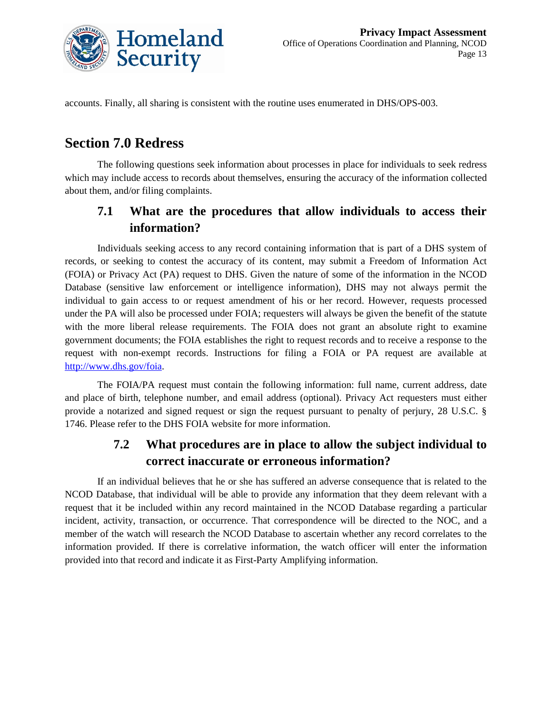

accounts. Finally, all sharing is consistent with the routine uses enumerated in DHS/OPS-003.

# **Section 7.0 Redress**

The following questions seek information about processes in place for individuals to seek redress which may include access to records about themselves, ensuring the accuracy of the information collected about them, and/or filing complaints.

### **7.1 What are the procedures that allow individuals to access their information?**

Individuals seeking access to any record containing information that is part of a DHS system of records, or seeking to contest the accuracy of its content, may submit a Freedom of Information Act (FOIA) or Privacy Act (PA) request to DHS. Given the nature of some of the information in the NCOD Database (sensitive law enforcement or intelligence information), DHS may not always permit the individual to gain access to or request amendment of his or her record. However, requests processed under the PA will also be processed under FOIA; requesters will always be given the benefit of the statute with the more liberal release requirements. The FOIA does not grant an absolute right to examine government documents; the FOIA establishes the right to request records and to receive a response to the request with non-exempt records. Instructions for filing a FOIA or PA request are available at [http://www.dhs.gov/foia.](http://www.dhs.gov/foia)

The FOIA/PA request must contain the following information: full name, current address, date and place of birth, telephone number, and email address (optional). Privacy Act requesters must either provide a notarized and signed request or sign the request pursuant to penalty of perjury, 28 U.S.C. § 1746. Please refer to the DHS FOIA website for more information.

#### **7.2 What procedures are in place to allow the subject individual to correct inaccurate or erroneous information?**

If an individual believes that he or she has suffered an adverse consequence that is related to the NCOD Database, that individual will be able to provide any information that they deem relevant with a request that it be included within any record maintained in the NCOD Database regarding a particular incident, activity, transaction, or occurrence. That correspondence will be directed to the NOC, and a member of the watch will research the NCOD Database to ascertain whether any record correlates to the information provided. If there is correlative information, the watch officer will enter the information provided into that record and indicate it as First-Party Amplifying information.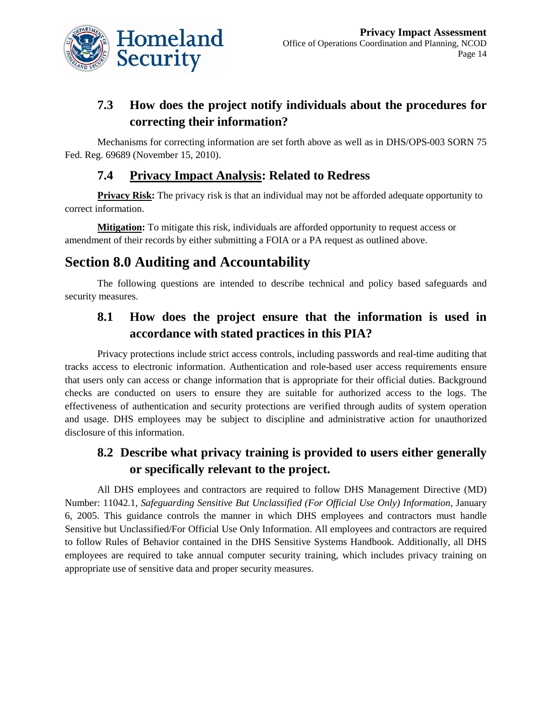

### **7.3 How does the project notify individuals about the procedures for correcting their information?**

Mechanisms for correcting information are set forth above as well as in DHS/OPS-003 SORN 75 Fed. Reg. 69689 (November 15, 2010).

#### **7.4 Privacy Impact Analysis: Related to Redress**

**Privacy Risk:** The privacy risk is that an individual may not be afforded adequate opportunity to correct information.

**Mitigation:** To mitigate this risk, individuals are afforded opportunity to request access or amendment of their records by either submitting a FOIA or a PA request as outlined above.

# **Section 8.0 Auditing and Accountability**

The following questions are intended to describe technical and policy based safeguards and security measures.

### **8.1 How does the project ensure that the information is used in accordance with stated practices in this PIA?**

Privacy protections include strict access controls, including passwords and real-time auditing that tracks access to electronic information. Authentication and role-based user access requirements ensure that users only can access or change information that is appropriate for their official duties. Background checks are conducted on users to ensure they are suitable for authorized access to the logs. The effectiveness of authentication and security protections are verified through audits of system operation and usage. DHS employees may be subject to discipline and administrative action for unauthorized disclosure of this information.

### **8.2 Describe what privacy training is provided to users either generally or specifically relevant to the project.**

All DHS employees and contractors are required to follow DHS Management Directive (MD) Number: 11042.1, *Safeguarding Sensitive But Unclassified (For Official Use Only) Information,* January 6, 2005. This guidance controls the manner in which DHS employees and contractors must handle Sensitive but Unclassified/For Official Use Only Information. All employees and contractors are required to follow Rules of Behavior contained in the DHS Sensitive Systems Handbook. Additionally, all DHS employees are required to take annual computer security training, which includes privacy training on appropriate use of sensitive data and proper security measures.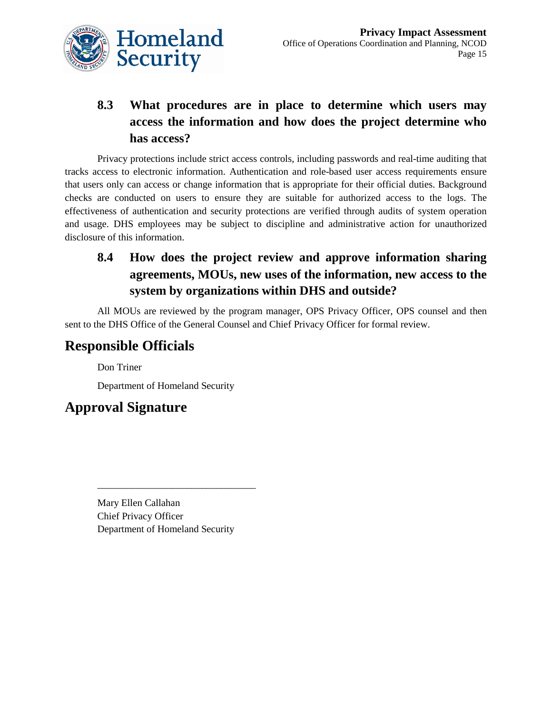

# **8.3 What procedures are in place to determine which users may access the information and how does the project determine who has access?**

Privacy protections include strict access controls, including passwords and real-time auditing that tracks access to electronic information. Authentication and role-based user access requirements ensure that users only can access or change information that is appropriate for their official duties. Background checks are conducted on users to ensure they are suitable for authorized access to the logs. The effectiveness of authentication and security protections are verified through audits of system operation and usage. DHS employees may be subject to discipline and administrative action for unauthorized disclosure of this information.

## **8.4 How does the project review and approve information sharing agreements, MOUs, new uses of the information, new access to the system by organizations within DHS and outside?**

All MOUs are reviewed by the program manager, OPS Privacy Officer, OPS counsel and then sent to the DHS Office of the General Counsel and Chief Privacy Officer for formal review.

# **Responsible Officials**

Don Triner

Department of Homeland Security

# **Approval Signature**

Mary Ellen Callahan Chief Privacy Officer Department of Homeland Security

\_\_\_\_\_\_\_\_\_\_\_\_\_\_\_\_\_\_\_\_\_\_\_\_\_\_\_\_\_\_\_\_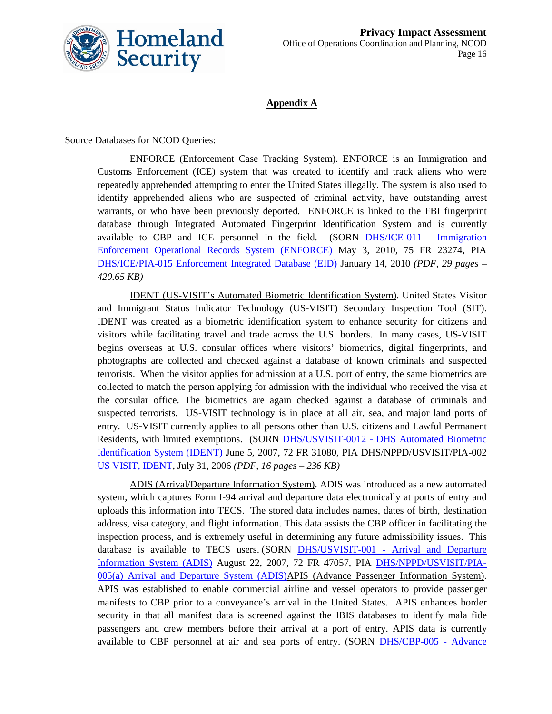

#### **Appendix A**

Source Databases for NCOD Queries:

ENFORCE (Enforcement Case Tracking System). ENFORCE is an Immigration and Customs Enforcement (ICE) system that was created to identify and track aliens who were repeatedly apprehended attempting to enter the United States illegally. The system is also used to identify apprehended aliens who are suspected of criminal activity, have outstanding arrest warrants, or who have been previously deported. ENFORCE is linked to the FBI fingerprint database through Integrated Automated Fingerprint Identification System and is currently available to CBP and ICE personnel in the field. (SORN [DHS/ICE-011 -](http://edocket.access.gpo.gov/2010/2010-10286.htm) Immigration [Enforcement Operational Records System \(ENFORCE\)](http://edocket.access.gpo.gov/2010/2010-10286.htm) May 3, 2010, 75 FR 23274, PIA [DHS/ICE/PIA-015 Enforcement Integrated Database \(EID\)](http://www.dhs.gov/xlibrary/assets/privacy/privacy_pia_ice_eid.pdf) January 14, 2010 *(PDF, 29 pages – 420.65 KB)*

IDENT (US-VISIT's Automated Biometric Identification System). United States Visitor and Immigrant Status Indicator Technology (US-VISIT) Secondary Inspection Tool (SIT). IDENT was created as a biometric identification system to enhance security for citizens and visitors while facilitating travel and trade across the U.S. borders. In many cases, US-VISIT begins overseas at U.S. consular offices where visitors' biometrics, digital fingerprints, and photographs are collected and checked against a database of known criminals and suspected terrorists. When the visitor applies for admission at a U.S. port of entry, the same biometrics are collected to match the person applying for admission with the individual who received the visa at the consular office. The biometrics are again checked against a database of criminals and suspected terrorists. US-VISIT technology is in place at all air, sea, and major land ports of entry. US-VISIT currently applies to all persons other than U.S. citizens and Lawful Permanent Residents, with limited exemptions. (SORN DHS/USVISIT-0012 - [DHS Automated Biometric](http://edocket.access.gpo.gov/2007/07-2781.htm)  [Identification System \(IDENT\)](http://edocket.access.gpo.gov/2007/07-2781.htm) June 5, 2007, 72 FR 31080, PIA DHS/NPPD/USVISIT/PIA-002 [US VISIT, IDENT,](http://www.dhs.gov/xlibrary/assets/privacy/privacy_pia_usvisit_ident_final.pdf) July 31, 2006 *(PDF, 16 pages – 236 KB)*

ADIS (Arrival/Departure Information System). ADIS was introduced as a new automated system, which captures Form I-94 arrival and departure data electronically at ports of entry and uploads this information into TECS. The stored data includes names, dates of birth, destination address, visa category, and flight information. This data assists the CBP officer in facilitating the inspection process, and is extremely useful in determining any future admissibility issues. This database is available to TECS users. (SORN DHS/USVISIT-001 - Arrival and Departure [Information System \(ADIS\)](http://edocket.access.gpo.gov/2007/E7-16473.htm) August 22, 2007, 72 FR 47057, PIA [DHS/NPPD/USVISIT/PIA-](http://www.dhs.gov/files/publications/gc_1281125467696.shtm#4)[005\(a\) Arrival and Departure System \(ADIS\)A](http://www.dhs.gov/files/publications/gc_1281125467696.shtm#4)PIS (Advance Passenger Information System). APIS was established to enable commercial airline and vessel operators to provide passenger manifests to CBP prior to a conveyance's arrival in the United States. APIS enhances border security in that all manifest data is screened against the IBIS databases to identify mala fide passengers and crew members before their arrival at a port of entry. APIS data is currently available to CBP personnel at air and sea ports of entry. (SORN [DHS/CBP-005 -](http://edocket.access.gpo.gov/2008/E8-27205.htm) Advance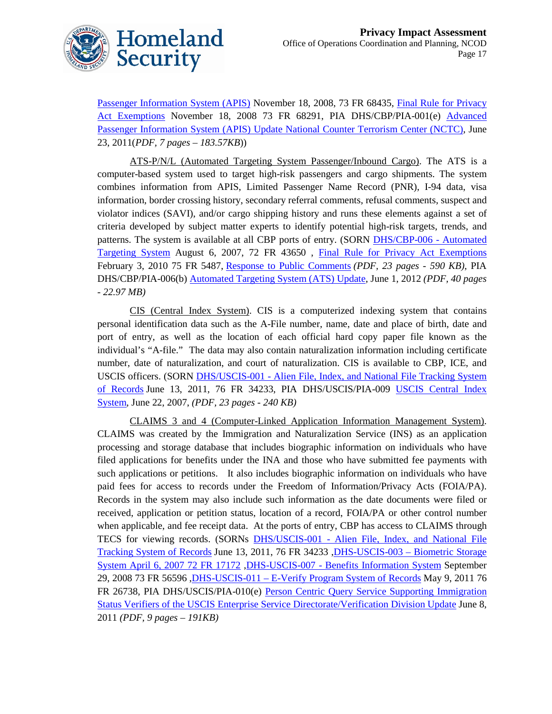

Passenger Information System (APIS) November 18, 2008, 73 FR 68435, [Final Rule for Privacy](http://edocket.access.gpo.gov/2008/E8-27206.htm)  [Act Exemptions](http://edocket.access.gpo.gov/2008/E8-27206.htm) November 18, 2008 73 FR 68291, PIA DHS/CBP/PIA-001(e) [Advanced](http://www.dhs.gov/xlibrary/assets/privacy/privacy_pia_apia_update_nctc_sharing.pdf)  [Passenger Information System \(APIS\) Update National Counter Terrorism Center \(NCTC\),](http://www.dhs.gov/xlibrary/assets/privacy/privacy_pia_apia_update_nctc_sharing.pdf) June 23, 2011(*PDF, 7 pages – 183.57KB*))

ATS-P/N/L (Automated Targeting System Passenger/Inbound Cargo). The ATS is a computer-based system used to target high-risk passengers and cargo shipments. The system combines information from APIS, Limited Passenger Name Record (PNR), I-94 data, visa information, border crossing history, secondary referral comments, refusal comments, suspect and violator indices (SAVI), and/or cargo shipping history and runs these elements against a set of criteria developed by subject matter experts to identify potential high-risk targets, trends, and patterns. The system is available at all CBP ports of entry. (SORN [DHS/CBP-006 -](http://edocket.access.gpo.gov/2007/E7-15197.htm) Automated [Targeting System](http://edocket.access.gpo.gov/2007/E7-15197.htm) August 6, 2007, 72 FR 43650 , [Final Rule for Privacy Act Exemptions](http://edocket.access.gpo.gov/2010/2010-2201.htm) February 3, 2010 75 FR 5487, [Response to Public Comments](http://www.dhs.gov/xlibrary/assets/privacy/privacy_publiccmts_cbp_atsupdate.pdf) *(PDF, 23 pages - 590 KB)*, PIA DHS/CBP/PIA-006(b) [Automated Targeting System \(ATS\) Update,](http://www.dhs.gov/xlibrary/assets/privacy/privacy_pia_cbp_ats006b.pdf) June 1, 2012 *(PDF, 40 pages - 22.97 MB)*

CIS (Central Index System). CIS is a computerized indexing system that contains personal identification data such as the A-File number, name, date and place of birth, date and port of entry, as well as the location of each official hard copy paper file known as the individual's "A-file." The data may also contain naturalization information including certificate number, date of naturalization, and court of naturalization. CIS is available to CBP, ICE, and USCIS officers. (SORN DHS/USCIS-001 - [Alien File, Index, and National File Tracking System](http://www.gpo.gov/fdsys/pkg/FR-2011-06-13/html/2011-14489.htm)  [of Records](http://www.gpo.gov/fdsys/pkg/FR-2011-06-13/html/2011-14489.htm) June 13, 2011, 76 FR 34233, PIA DHS/USCIS/PIA-009 [USCIS Central Index](http://www.dhs.gov/xlibrary/assets/privacy/privacy_pia_uscis_cis.pdf)  [System,](http://www.dhs.gov/xlibrary/assets/privacy/privacy_pia_uscis_cis.pdf) June 22, 2007, *(PDF, 23 pages - 240 KB)*

CLAIMS 3 and 4 (Computer-Linked Application Information Management System). CLAIMS was created by the Immigration and Naturalization Service (INS) as an application processing and storage database that includes biographic information on individuals who have filed applications for benefits under the INA and those who have submitted fee payments with such applications or petitions. It also includes biographic information on individuals who have paid fees for access to records under the Freedom of Information/Privacy Acts (FOIA/PA). Records in the system may also include such information as the date documents were filed or received, application or petition status, location of a record, FOIA/PA or other control number when applicable, and fee receipt data. At the ports of entry, CBP has access to CLAIMS through TECS for viewing records. (SORNs DHS/USCIS-001 - [Alien File, Index, and National File](http://www.gpo.gov/fdsys/pkg/FR-2011-06-13/html/2011-14489.htm)  [Tracking System of Records](http://www.gpo.gov/fdsys/pkg/FR-2011-06-13/html/2011-14489.htm) June 13, 2011, 76 FR 34233, DHS-USCIS-003 – Biometric Storage [System April 6, 2007 72 FR 17172](http://edocket.access.gpo.gov/2007/07-1643.htm) ,DHS-USCIS-007 - [Benefits Information System](http://edocket.access.gpo.gov/2008/E8-22802.htm) September 29, 2008 73 FR 56596 ,DHS-USCIS-011 – [E-Verify Program System of Records](http://www.gpo.gov/fdsys/pkg/FR-2011-05-09/html/2011-11291.htm) May 9, 2011 76 FR 26738, PIA DHS/USCIS/PIA-010(e) [Person Centric Query Service Supporting Immigration](http://www.dhs.gov/xlibrary/assets/privacy/privacy-pia-uscis-pcqssisv-esdvd.pdf)  [Status Verifiers of the USCIS Enterprise Service Directorate/Verification Division Update](http://www.dhs.gov/xlibrary/assets/privacy/privacy-pia-uscis-pcqssisv-esdvd.pdf) June 8, 2011 *(PDF, 9 pages – 191KB)*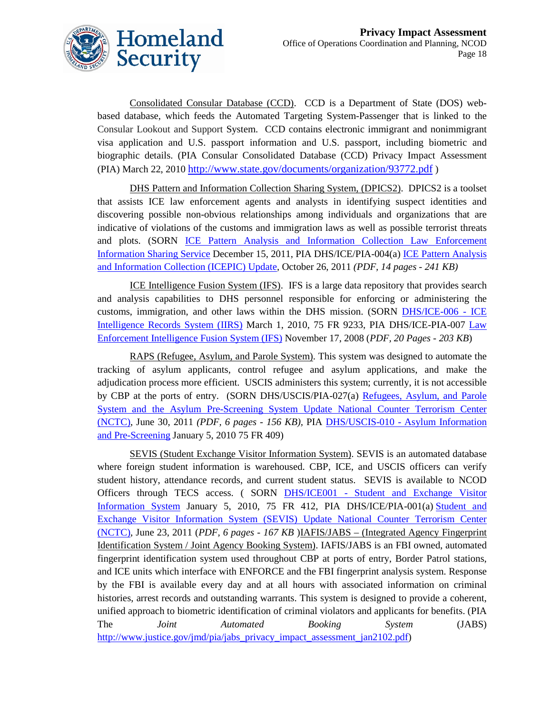

Consolidated Consular Database (CCD). CCD is a Department of State (DOS) webbased database, which feeds the Automated Targeting System-Passenger that is linked to the Consular Lookout and Support System. CCD contains electronic immigrant and nonimmigrant visa application and U.S. passport information and U.S. passport, including biometric and biographic details. (PIA Consular Consolidated Database (CCD) Privacy Impact Assessment (PIA) March 22, 2010 <http://www.state.gov/documents/organization/93772.pdf> )

DHS Pattern and Information Collection Sharing System, (DPICS2). DPICS2 is a toolset that assists ICE law enforcement agents and analysts in identifying suspect identities and discovering possible non-obvious relationships among individuals and organizations that are indicative of violations of the customs and immigration laws as well as possible terrorist threats and plots. (SORN [ICE Pattern Analysis and Information Collection Law Enforcement](http://www.dhs.gov/xlibrary/assets/privacy/privacy_privcomrev_ice-analysis.pdf)  [Information Sharing Service](http://www.dhs.gov/xlibrary/assets/privacy/privacy_privcomrev_ice-analysis.pdf) December 15, 2011, PIA DHS/ICE/PIA-004(a) [ICE Pattern Analysis](http://www.dhs.gov/xlibrary/assets/privacy/privacy_pia_ice_icepic-4a.pdf)  [and Information Collection \(ICEPIC\) Update,](http://www.dhs.gov/xlibrary/assets/privacy/privacy_pia_ice_icepic-4a.pdf) October 26, 2011 *(PDF, 14 pages - 241 KB)*

ICE Intelligence Fusion System (IFS). IFS is a large data repository that provides search and analysis capabilities to DHS personnel responsible for enforcing or administering the customs, immigration, and other laws within the DHS mission. (SORN [DHS/ICE-006 -](http://edocket.access.gpo.gov/2010/2010-4102.htm) ICE [Intelligence Records System \(IIRS\)](http://edocket.access.gpo.gov/2010/2010-4102.htm) March 1, 2010, 75 FR 9233, PIA DHS/ICE-PIA-007 [Law](http://www.dhs.gov/xlibrary/assets/privacy/privacy_pia_ice_ifs.pdf)  [Enforcement Intelligence Fusion System \(IFS\)](http://www.dhs.gov/xlibrary/assets/privacy/privacy_pia_ice_ifs.pdf) November 17, 2008 (*PDF, 20 Pages - 203 KB*)

RAPS (Refugee, Asylum, and Parole System). This system was designed to automate the tracking of asylum applicants, control refugee and asylum applications, and make the adjudication process more efficient. USCIS administers this system; currently, it is not accessible by CBP at the ports of entry. (SORN DHS/USCIS/PIA-027(a) [Refugees, Asylum, and Parole](http://www.dhs.gov/xlibrary/assets/privacy/privacy_pia_raps_update_nctc.pdf)  [System and the Asylum Pre-Screening System Update National Counter Terrorism Center](http://www.dhs.gov/xlibrary/assets/privacy/privacy_pia_raps_update_nctc.pdf)  [\(NCTC\),](http://www.dhs.gov/xlibrary/assets/privacy/privacy_pia_raps_update_nctc.pdf) June 30, 2011 *(PDF, 6 pages - 156 KB),* PIA DHS/USCIS-010 - [Asylum Information](http://edocket.access.gpo.gov/2010/E9-31267.htm)  [and Pre-Screening](http://edocket.access.gpo.gov/2010/E9-31267.htm) January 5, 2010 75 FR 409)

SEVIS (Student Exchange Visitor Information System). SEVIS is an automated database where foreign student information is warehoused. CBP, ICE, and USCIS officers can verify student history, attendance records, and current student status. SEVIS is available to NCOD Officers through TECS access. ( SORN DHS/ICE001 - [Student and Exchange Visitor](http://edocket.access.gpo.gov/2010/E9-31268.htm)  [Information System](http://edocket.access.gpo.gov/2010/E9-31268.htm) January 5, 2010, 75 FR 412, PIA DHS/ICE/PIA-001(a) [Student and](http://www.dhs.gov/xlibrary/assets/privacy/privacy_pia_sevis_update_nctc.pdf)  [Exchange Visitor Information System \(SEVIS\) Update National Counter Terrorism Center](http://www.dhs.gov/xlibrary/assets/privacy/privacy_pia_sevis_update_nctc.pdf)  [\(NCTC\),](http://www.dhs.gov/xlibrary/assets/privacy/privacy_pia_sevis_update_nctc.pdf) June 23, 2011 (*PDF, 6 pages - 167 KB* )IAFIS/JABS – (Integrated Agency Fingerprint Identification System / Joint Agency Booking System). IAFIS/JABS is an FBI owned, automated fingerprint identification system used throughout CBP at ports of entry, Border Patrol stations, and ICE units which interface with ENFORCE and the FBI fingerprint analysis system. Response by the FBI is available every day and at all hours with associated information on criminal histories, arrest records and outstanding warrants. This system is designed to provide a coherent, unified approach to biometric identification of criminal violators and applicants for benefits. (PIA The *Joint Automated Booking System* (JABS) [http://www.justice.gov/jmd/pia/jabs\\_privacy\\_impact\\_assessment\\_jan2102.pdf\)](http://www.justice.gov/jmd/pia/jabs_privacy_impact_assessment_jan2102.pdf)